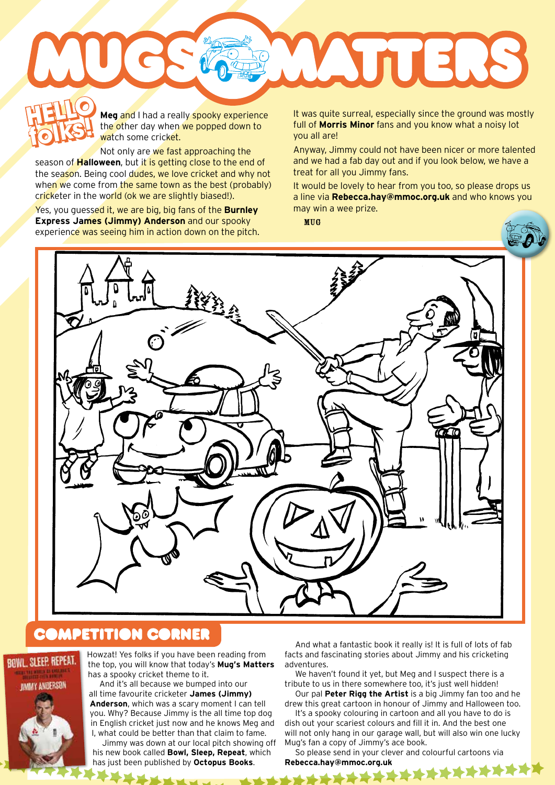**Meg** and I had a really spooky experience the other day when we popped down to watch some cricket. **HELLO** M **folks! HELLO** 

Not only are we fast approaching the season of **Halloween**, but it is getting close to the end of the season. Being cool dudes, we love cricket and why not when we come from the same town as the best (probably) cricketer in the world (ok we are slightly biased!).

Yes, you guessed it, we are big, big fans of the **Burnley Express James (Jimmy) Anderson** and our spooky experience was seeing him in action down on the pitch.

**folks and I** had a really spooky experience lit was quite surreal, especially since the ground was mostly<br> **folks** the other day when we popped down to full of **Morris Minor** fans and you know what a noisy lot<br>
you all ar full of **Morris Minor** fans and you know what a noisy lot you all are!

ATTERS

Anyway, Jimmy could not have been nicer or more talented and we had a fab day out and if you look below, we have a treat for all you Jimmy fans.

It would be lovely to hear from you too, so please drops us a line via **Rebecca.hay@mmoc.org.uk** and who knows you may win a wee prize.

MUG





## **COMPETITION CORNER**



Howzat! Yes folks if you have been reading from the top, you will know that today's **Mug's Matters** has a spooky cricket theme to it.

And it's all because we bumped into our all time favourite cricketer **James (Jimmy) Anderson**, which was a scary moment I can tell you. Why? Because Jimmy is the all time top dog in English cricket just now and he knows Meg and I, what could be better than that claim to fame.

Jimmy was down at our local pitch showing off his new book called **Bowl, Sleep, Repeat**, which has just been published by **Octopus Books**.

And what a fantastic book it really is! It is full of lots of fab facts and fascinating stories about Jimmy and his cricketing adventures.

We haven't found it yet, but Meg and I suspect there is a tribute to us in there somewhere too, it's just well hidden!

Our pal **Peter Rigg the Artist** is a big Jimmy fan too and he drew this great cartoon in honour of Jimmy and Halloween too.

It's a spooky colouring in cartoon and all you have to do is dish out your scariest colours and fill it in. And the best one will not only hang in our garage wall, but will also win one lucky Mug's fan a copy of Jimmy's ace book.

So please send in your clever and colourful cartoons via Rebecca.hay@mmoc.org.uk<br> **Rebecca.hay@mmoc.org.uk**